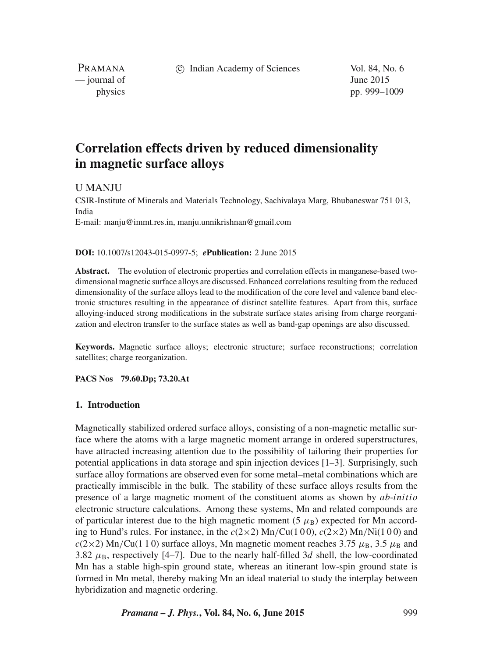c Indian Academy of Sciences Vol. 84, No. 6

PRAMANA  $\frac{1}{2}$  journal of June 2015

physics pp. 999–1009

# **Correlation effects driven by reduced dimensionality in magnetic surface alloys**

U MANJU

CSIR-Institute of Minerals and Materials Technology, Sachivalaya Marg, Bhubaneswar 751 013, India E-mail: manju@immt.res.in, manju.unnikrishnan@gmail.com

#### **DOI:** 10.1007/s12043-015-0997-5; *e***Publication:** 2 June 2015

**Abstract.** The evolution of electronic properties and correlation effects in manganese-based twodimensional magnetic surface alloys are discussed. Enhanced correlations resulting from the reduced dimensionality of the surface alloys lead to the modification of the core level and valence band electronic structures resulting in the appearance of distinct satellite features. Apart from this, surface alloying-induced strong modifications in the substrate surface states arising from charge reorganization and electron transfer to the surface states as well as band-gap openings are also discussed.

**Keywords.** Magnetic surface alloys; electronic structure; surface reconstructions; correlation satellites; charge reorganization.

**PACS Nos 79.60.Dp; 73.20.At**

#### **1. Introduction**

Magnetically stabilized ordered surface alloys, consisting of a non-magnetic metallic surface where the atoms with a large magnetic moment arrange in ordered superstructures, have attracted increasing attention due to the possibility of tailoring their properties for potential applications in data storage and spin injection devices [1–3]. Surprisingly, such surface alloy formations are observed even for some metal–metal combinations which are practically immiscible in the bulk. The stability of these surface alloys results from the presence of a large magnetic moment of the constituent atoms as shown by *ab-initio* electronic structure calculations. Among these systems, Mn and related compounds are of particular interest due to the high magnetic moment (5  $\mu$ <sub>B</sub>) expected for Mn according to Hund's rules. For instance, in the  $c(2\times2)$  Mn/Cu(100),  $c(2\times2)$  Mn/Ni(100) and  $c(2\times2)$  Mn/Cu(1 1 0) surface alloys, Mn magnetic moment reaches 3.75  $\mu_B$ , 3.5  $\mu_B$  and 3.82  $\mu$ <sub>B</sub>, respectively [4–7]. Due to the nearly half-filled 3d shell, the low-coordinated Mn has a stable high-spin ground state, whereas an itinerant low-spin ground state is formed in Mn metal, thereby making Mn an ideal material to study the interplay between hybridization and magnetic ordering.

*Pramana – J. Phys.***, Vol. 84, No. 6, June 2015** 999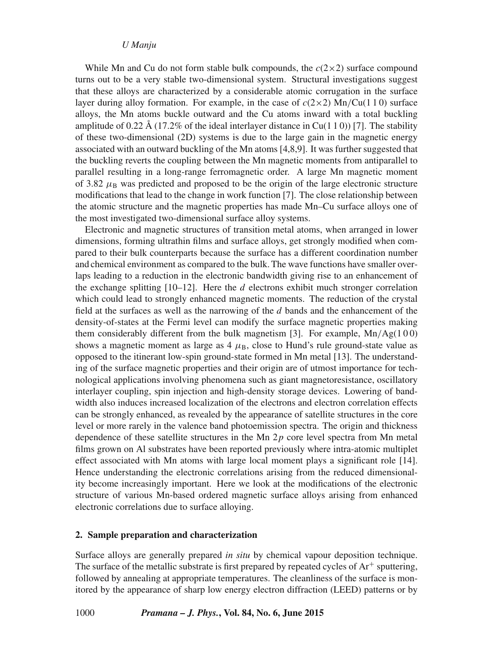# *U Manju*

While Mn and Cu do not form stable bulk compounds, the  $c(2\times 2)$  surface compound turns out to be a very stable two-dimensional system. Structural investigations suggest that these alloys are characterized by a considerable atomic corrugation in the surface layer during alloy formation. For example, in the case of  $c(2\times2)$  Mn/Cu(110) surface alloys, the Mn atoms buckle outward and the Cu atoms inward with a total buckling amplitude of 0.22 Å (17.2% of the ideal interlayer distance in Cu(1 1 0)) [7]. The stability of these two-dimensional (2D) systems is due to the large gain in the magnetic energy associated with an outward buckling of the Mn atoms [4,8,9]. It was further suggested that the buckling reverts the coupling between the Mn magnetic moments from antiparallel to parallel resulting in a long-range ferromagnetic order. A large Mn magnetic moment of 3.82  $\mu$ <sub>B</sub> was predicted and proposed to be the origin of the large electronic structure modifications that lead to the change in work function [7]. The close relationship between the atomic structure and the magnetic properties has made Mn–Cu surface alloys one of the most investigated two-dimensional surface alloy systems.

Electronic and magnetic structures of transition metal atoms, when arranged in lower dimensions, forming ultrathin films and surface alloys, get strongly modified when compared to their bulk counterparts because the surface has a different coordination number and chemical environment as compared to the bulk. The wave functions have smaller overlaps leading to a reduction in the electronic bandwidth giving rise to an enhancement of the exchange splitting  $[10-12]$ . Here the  $d$  electrons exhibit much stronger correlation which could lead to strongly enhanced magnetic moments. The reduction of the crystal field at the surfaces as well as the narrowing of the d bands and the enhancement of the density-of-states at the Fermi level can modify the surface magnetic properties making them considerably different from the bulk magnetism [3]. For example,  $Mn/Ag(100)$ shows a magnetic moment as large as  $4 \mu_B$ , close to Hund's rule ground-state value as opposed to the itinerant low-spin ground-state formed in Mn metal [13]. The understanding of the surface magnetic properties and their origin are of utmost importance for technological applications involving phenomena such as giant magnetoresistance, oscillatory interlayer coupling, spin injection and high-density storage devices. Lowering of bandwidth also induces increased localization of the electrons and electron correlation effects can be strongly enhanced, as revealed by the appearance of satellite structures in the core level or more rarely in the valence band photoemission spectra. The origin and thickness dependence of these satellite structures in the Mn  $2p$  core level spectra from Mn metal films grown on Al substrates have been reported previously where intra-atomic multiplet effect associated with Mn atoms with large local moment plays a significant role [14]. Hence understanding the electronic correlations arising from the reduced dimensionality become increasingly important. Here we look at the modifications of the electronic structure of various Mn-based ordered magnetic surface alloys arising from enhanced electronic correlations due to surface alloying.

# **2. Sample preparation and characterization**

Surface alloys are generally prepared *in situ* by chemical vapour deposition technique. The surface of the metallic substrate is first prepared by repeated cycles of  $Ar^+$  sputtering, followed by annealing at appropriate temperatures. The cleanliness of the surface is monitored by the appearance of sharp low energy electron diffraction (LEED) patterns or by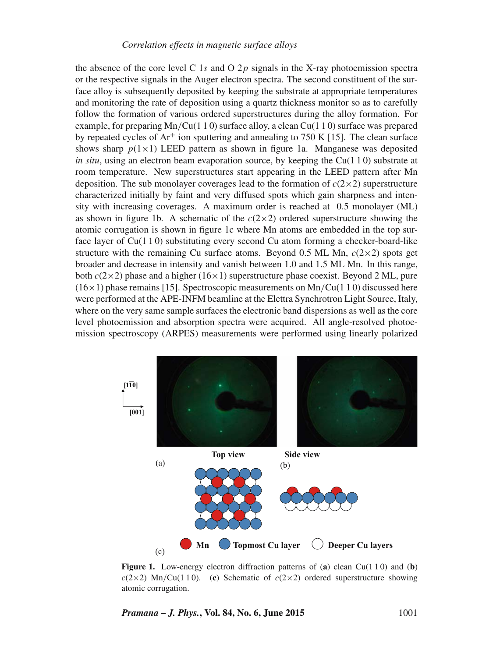the absence of the core level C 1s and O 2p signals in the X-ray photoemission spectra or the respective signals in the Auger electron spectra. The second constituent of the surface alloy is subsequently deposited by keeping the substrate at appropriate temperatures and monitoring the rate of deposition using a quartz thickness monitor so as to carefully follow the formation of various ordered superstructures during the alloy formation. For example, for preparing  $Mn/Cu(1 1 0)$  surface alloy, a clean  $Cu(1 1 0)$  surface was prepared by repeated cycles of  $Ar^+$  ion sputtering and annealing to 750 K [15]. The clean surface shows sharp  $p(1\times1)$  LEED pattern as shown in figure 1a. Manganese was deposited *in situ*, using an electron beam evaporation source, by keeping the  $Cu(110)$  substrate at room temperature. New superstructures start appearing in the LEED pattern after Mn deposition. The sub monolayer coverages lead to the formation of  $c(2\times 2)$  superstructure characterized initially by faint and very diffused spots which gain sharpness and intensity with increasing coverages. A maximum order is reached at 0.5 monolayer (ML) as shown in figure 1b. A schematic of the  $c(2\times 2)$  ordered superstructure showing the atomic corrugation is shown in figure 1c where Mn atoms are embedded in the top surface layer of  $Cu(110)$  substituting every second Cu atom forming a checker-board-like structure with the remaining Cu surface atoms. Beyond 0.5 ML Mn,  $c(2\times2)$  spots get broader and decrease in intensity and vanish between 1.0 and 1.5 ML Mn. In this range, both  $c(2\times2)$  phase and a higher (16 $\times$ 1) superstructure phase coexist. Beyond 2 ML, pure  $(16\times1)$  phase remains [15]. Spectroscopic measurements on Mn/Cu(1 1 0) discussed here were performed at the APE-INFM beamline at the Elettra Synchrotron Light Source, Italy, where on the very same sample surfaces the electronic band dispersions as well as the core level photoemission and absorption spectra were acquired. All angle-resolved photoemission spectroscopy (ARPES) measurements were performed using linearly polarized



**Figure 1.** Low-energy electron diffraction patterns of (**a**) clean Cu(1 1 0) and (**b**)  $c(2\times2)$  Mn/Cu(110). (c) Schematic of  $c(2\times2)$  ordered superstructure showing atomic corrugation.

*Pramana – J. Phys.***, Vol. 84, No. 6, June 2015** 1001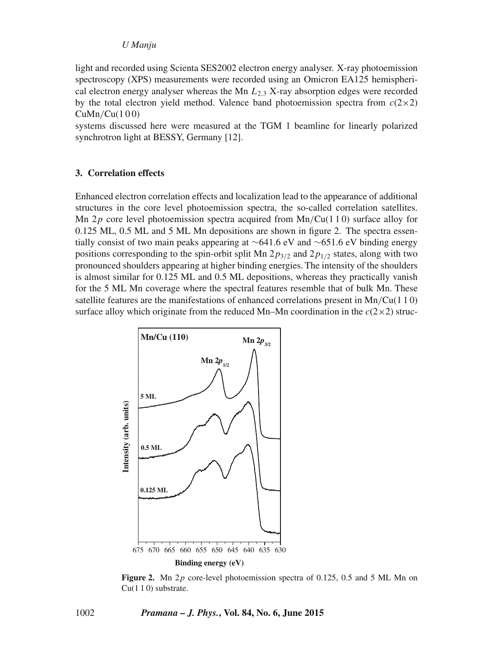## *U Manju*

light and recorded using Scienta SES2002 electron energy analyser. X-ray photoemission spectroscopy (XPS) measurements were recorded using an Omicron EA125 hemispherical electron energy analyser whereas the Mn  $L_{2,3}$  X-ray absorption edges were recorded by the total electron yield method. Valence band photoemission spectra from  $c(2\times2)$  $CuMn/Cu(100)$ 

systems discussed here were measured at the TGM 1 beamline for linearly polarized synchrotron light at BESSY, Germany [12].

# **3. Correlation effects**

Enhanced electron correlation effects and localization lead to the appearance of additional structures in the core level photoemission spectra, the so-called correlation satellites. Mn  $2p$  core level photoemission spectra acquired from Mn/Cu(1 1 0) surface alloy for 0.125 ML, 0.5 ML and 5 ML Mn depositions are shown in figure 2. The spectra essentially consist of two main peaks appearing at ∼641.6 eV and ∼651.6 eV binding energy positions corresponding to the spin-orbit split Mn  $2p_{3/2}$  and  $2p_{1/2}$  states, along with two pronounced shoulders appearing at higher binding energies. The intensity of the shoulders is almost similar for 0.125 ML and 0.5 ML depositions, whereas they practically vanish for the 5 ML Mn coverage where the spectral features resemble that of bulk Mn. These satellite features are the manifestations of enhanced correlations present in  $\text{Mn}/\text{Cu}(1\ 1\ 0)$ surface alloy which originate from the reduced Mn–Mn coordination in the  $c(2\times 2)$  struc-



Figure 2. Mn 2p core-level photoemission spectra of 0.125, 0.5 and 5 ML Mn on Cu(1 1 0) substrate.

1002 *Pramana – J. Phys.***, Vol. 84, No. 6, June 2015**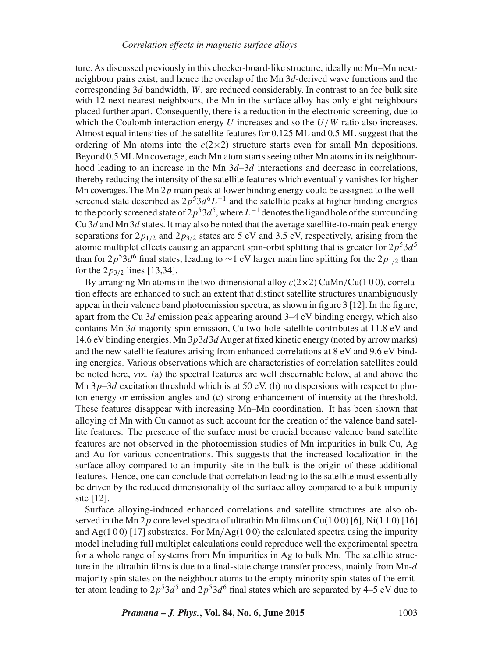ture. As discussed previously in this checker-board-like structure, ideally no Mn–Mn nextneighbour pairs exist, and hence the overlap of the Mn 3*d*-derived wave functions and the corresponding 3d bandwidth,  $W$ , are reduced considerably. In contrast to an fcc bulk site with 12 next nearest neighbours, the Mn in the surface alloy has only eight neighbours placed further apart. Consequently, there is a reduction in the electronic screening, due to which the Coulomb interaction energy U increases and so the  $U/W$  ratio also increases. Almost equal intensities of the satellite features for 0.125 ML and 0.5 ML suggest that the ordering of Mn atoms into the  $c(2\times2)$  structure starts even for small Mn depositions. Beyond 0.5MLMn coverage, each Mn atom starts seeing other Mn atoms in its neighbourhood leading to an increase in the Mn  $3d-3d$  interactions and decrease in correlations, thereby reducing the intensity of the satellite features which eventually vanishes for higher Mn coverages. The Mn  $2p$  main peak at lower binding energy could be assigned to the wellscreened state described as  $2p^53d^6L^{-1}$  and the satellite peaks at higher binding energies to the poorly screened state of  $2p^53d^5$ , where  $L^{-1}$  denotes the ligand hole of the surrounding Cu  $3d$  and Mn  $3d$  states. It may also be noted that the average satellite-to-main peak energy separations for  $2p_{1/2}$  and  $2p_{3/2}$  states are 5 eV and 3.5 eV, respectively, arising from the atomic multiplet effects causing an apparent spin-orbit splitting that is greater for  $2p^53d^5$ than for  $2p^5$ 3d<sup>6</sup> final states, leading to ∼1 eV larger main line splitting for the  $2p_{1/2}$  than for the  $2p_{3/2}$  lines [13,34].

By arranging Mn atoms in the two-dimensional alloy  $c(2\times 2)$  CuMn/Cu(100), correlation effects are enhanced to such an extent that distinct satellite structures unambiguously appear in their valence band photoemission spectra, as shown in figure  $3$  [12]. In the figure, apart from the Cu  $3d$  emission peak appearing around  $3-4$  eV binding energy, which also contains Mn 3d majority-spin emission, Cu two-hole satellite contributes at 11.8 eV and 14.6 eV binding energies, Mn 3p3d3d Auger at fixed kinetic energy (noted by arrow marks) and the new satellite features arising from enhanced correlations at 8 eV and 9.6 eV binding energies. Various observations which are characteristics of correlation satellites could be noted here, viz. (a) the spectral features are well discernable below, at and above the Mn  $3p-3d$  excitation threshold which is at 50 eV, (b) no dispersions with respect to photon energy or emission angles and (c) strong enhancement of intensity at the threshold. These features disappear with increasing Mn–Mn coordination. It has been shown that alloying of Mn with Cu cannot as such account for the creation of the valence band satellite features. The presence of the surface must be crucial because valence band satellite features are not observed in the photoemission studies of Mn impurities in bulk Cu, Ag and Au for various concentrations. This suggests that the increased localization in the surface alloy compared to an impurity site in the bulk is the origin of these additional features. Hence, one can conclude that correlation leading to the satellite must essentially be driven by the reduced dimensionality of the surface alloy compared to a bulk impurity site [12].

Surface alloying-induced enhanced correlations and satellite structures are also observed in the Mn  $2p$  core level spectra of ultrathin Mn films on Cu(100) [6], Ni(110) [16] and Ag(1 0 0) [17] substrates. For  $Mn/Ag(100)$  the calculated spectra using the impurity model including full multiplet calculations could reproduce well the experimental spectra for a whole range of systems from Mn impurities in Ag to bulk Mn. The satellite structure in the ultrathin films is due to a final-state charge transfer process, mainly from  $Mn-d$ majority spin states on the neighbour atoms to the empty minority spin states of the emitter atom leading to  $2p^53d^5$  and  $2p^53d^6$  final states which are separated by 4–5 eV due to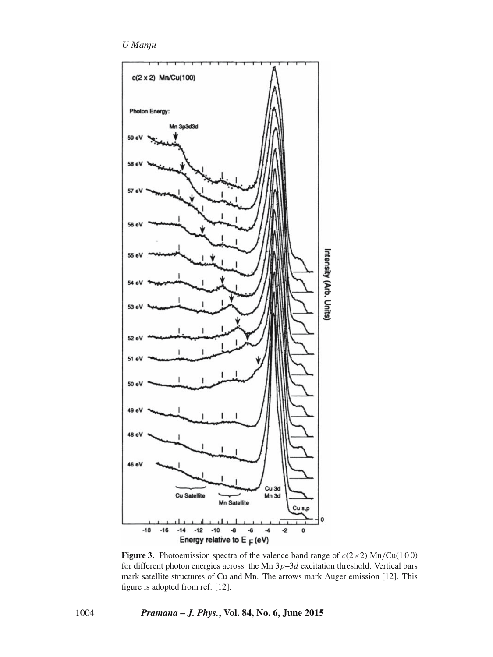*U Manju*



**Figure 3.** Photoemission spectra of the valence band range of  $c(2\times2)$  Mn/Cu(100) for different photon energies across the Mn  $3p-3d$  excitation threshold. Vertical bars mark satellite structures of Cu and Mn. The arrows mark Auger emission [12]. This figure is adopted from ref. [12].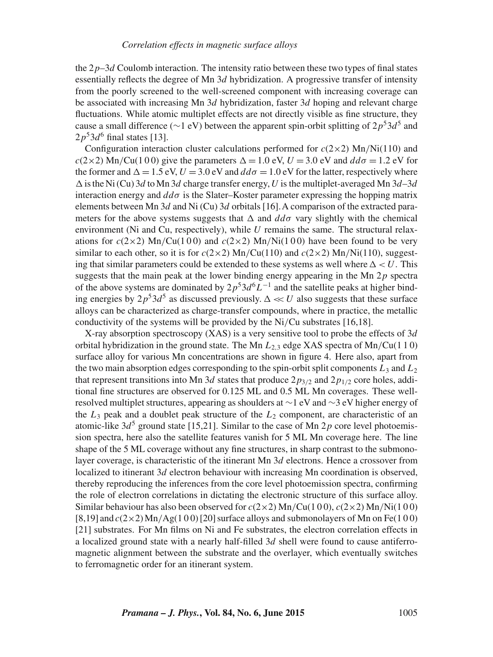the  $2p-3d$  Coulomb interaction. The intensity ratio between these two types of final states essentially reflects the degree of Mn  $3d$  hybridization. A progressive transfer of intensity from the poorly screened to the well-screened component with increasing coverage can be associated with increasing Mn  $3d$  hybridization, faster  $3d$  hoping and relevant charge fluctuations. While atomic multiplet effects are not directly visible as fine structure, they cause a small difference ( $\sim$ 1 eV) between the apparent spin-orbit splitting of  $2p^53d^5$  and  $2p<sup>5</sup>3d<sup>6</sup>$  final states [13].

Configuration interaction cluster calculations performed for  $c(2\times2)$  Mn/Ni(110) and  $c(2\times2)$  Mn/Cu(100) give the parameters  $\Delta = 1.0$  eV,  $U = 3.0$  eV and  $dd\sigma = 1.2$  eV for the former and  $\Delta = 1.5$  eV,  $U = 3.0$  eV and  $dd\sigma = 1.0$  eV for the latter, respectively where  $\Delta$  is the Ni (Cu) 3d to Mn 3d charge transfer energy, U is the multiplet-averaged Mn 3d-3d interaction energy and  $dd\sigma$  is the Slater–Koster parameter expressing the hopping matrix elements between Mn  $3d$  and Ni (Cu)  $3d$  orbitals [16]. A comparison of the extracted parameters for the above systems suggests that  $\Delta$  and  $dd\sigma$  vary slightly with the chemical environment (Ni and Cu, respectively), while  $U$  remains the same. The structural relaxations for  $c(2\times2)$  Mn/Cu(100) and  $c(2\times2)$  Mn/Ni(100) have been found to be very similar to each other, so it is for  $c(2\times2)$  Mn/Cu(110) and  $c(2\times2)$  Mn/Ni(110), suggesting that similar parameters could be extended to these systems as well where  $\Delta < U$ . This suggests that the main peak at the lower binding energy appearing in the Mn  $2p$  spectra of the above systems are dominated by  $2p^53d^6L^{-1}$  and the satellite peaks at higher binding energies by  $2p^53d^5$  as discussed previously.  $\Delta \ll U$  also suggests that these surface alloys can be characterized as charge-transfer compounds, where in practice, the metallic conductivity of the systems will be provided by the Ni/Cu substrates [16,18].

X-ray absorption spectroscopy (XAS) is a very sensitive tool to probe the effects of  $3d$ orbital hybridization in the ground state. The Mn  $L_{2,3}$  edge XAS spectra of Mn/Cu(1 1 0) surface alloy for various Mn concentrations are shown in figure 4. Here also, apart from the two main absorption edges corresponding to the spin-orbit split components  $L_3$  and  $L_2$ that represent transitions into Mn 3d states that produce  $2p_{3/2}$  and  $2p_{1/2}$  core holes, additional fine structures are observed for 0.125 ML and 0.5 ML Mn coverages. These wellresolved multiplet structures, appearing as shoulders at ∼1 eV and ∼3 eV higher energy of the  $L_3$  peak and a doublet peak structure of the  $L_2$  component, are characteristic of an atomic-like  $3d^5$  ground state [15,21]. Similar to the case of Mn 2p core level photoemission spectra, here also the satellite features vanish for 5 ML Mn coverage here. The line shape of the 5 ML coverage without any fine structures, in sharp contrast to the submonolayer coverage, is characteristic of the itinerant Mn 3d electrons. Hence a crossover from localized to itinerant 3d electron behaviour with increasing Mn coordination is observed, thereby reproducing the inferences from the core level photoemission spectra, confirming the role of electron correlations in dictating the electronic structure of this surface alloy. Similar behaviour has also been observed for  $c(2\times2)$  Mn/Cu(100),  $c(2\times2)$  Mn/Ni(100) [8,19] and  $c(2\times2)$  Mn/Ag(1 0 0) [20] surface alloys and submonolayers of Mn on Fe(1 0 0) [21] substrates. For Mn films on Ni and Fe substrates, the electron correlation effects in a localized ground state with a nearly half-filled 3d shell were found to cause antiferromagnetic alignment between the substrate and the overlayer, which eventually switches to ferromagnetic order for an itinerant system.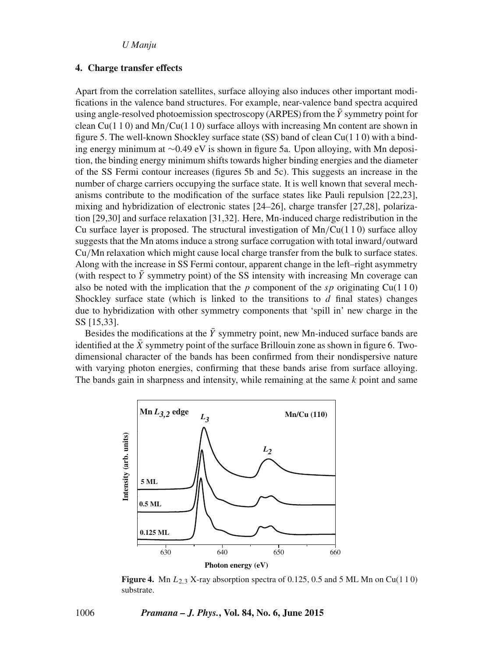## *U Manju*

# **4. Charge transfer effects**

Apart from the correlation satellites, surface alloying also induces other important modifications in the valence band structures. For example, near-valence band spectra acquired using angle-resolved photoemission spectroscopy (ARPES) from the  $\bar{Y}$  symmetry point for clean Cu(1 1 0) and Mn/Cu(1 1 0) surface alloys with increasing Mn content are shown in figure 5. The well-known Shockley surface state (SS) band of clean  $Cu(110)$  with a binding energy minimum at ∼0.49 eV is shown in figure 5a. Upon alloying, with Mn deposition, the binding energy minimum shifts towards higher binding energies and the diameter of the SS Fermi contour increases (figures 5b and 5c). This suggests an increase in the number of charge carriers occupying the surface state. It is well known that several mechanisms contribute to the modification of the surface states like Pauli repulsion [22,23], mixing and hybridization of electronic states [24–26], charge transfer [27,28], polarization [29,30] and surface relaxation [31,32]. Here, Mn-induced charge redistribution in the Cu surface layer is proposed. The structural investigation of  $Mn/Cu(1 1 0)$  surface alloy suggests that the Mn atoms induce a strong surface corrugation with total inward/outward Cu/Mn relaxation which might cause local charge transfer from the bulk to surface states. Along with the increase in SS Fermi contour, apparent change in the left–right asymmetry (with respect to  $\overline{Y}$  symmetry point) of the SS intensity with increasing Mn coverage can also be noted with the implication that the p component of the sp originating Cu(1 1 0) Shockley surface state (which is linked to the transitions to  $d$  final states) changes due to hybridization with other symmetry components that 'spill in' new charge in the SS [15,33].

Besides the modifications at the  $\bar{Y}$  symmetry point, new Mn-induced surface bands are identified at the  $\bar{X}$  symmetry point of the surface Brillouin zone as shown in figure 6. Twodimensional character of the bands has been confirmed from their nondispersive nature with varying photon energies, confirming that these bands arise from surface alloying. The bands gain in sharpness and intensity, while remaining at the same  $k$  point and same



**Figure 4.** Mn  $L_{2,3}$  X-ray absorption spectra of 0.125, 0.5 and 5 ML Mn on Cu(110) substrate.

1006 *Pramana – J. Phys.***, Vol. 84, No. 6, June 2015**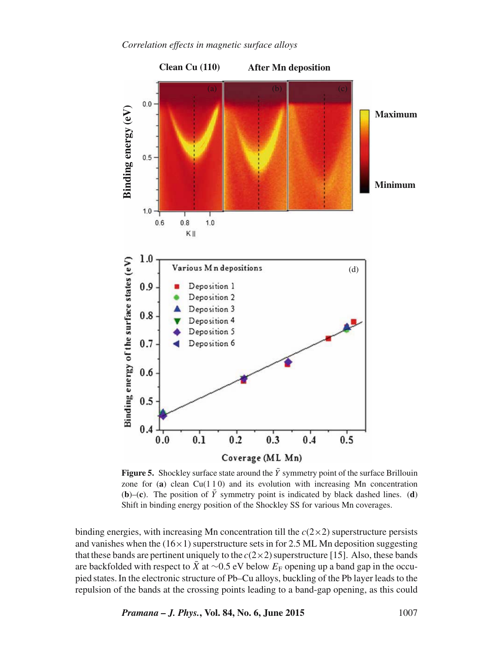

**Figure 5.** Shockley surface state around the  $\bar{Y}$  symmetry point of the surface Brillouin zone for  $(a)$  clean  $Cu(110)$  and its evolution with increasing Mn concentration (**b**)–(**c**). The position of  $\overline{Y}$  symmetry point is indicated by black dashed lines. (**d**) Shift in binding energy position of the Shockley SS for various Mn coverages.

binding energies, with increasing Mn concentration till the  $c(2\times 2)$  superstructure persists and vanishes when the  $(16\times1)$  superstructure sets in for 2.5 ML Mn deposition suggesting that these bands are pertinent uniquely to the  $c(2\times 2)$  superstructure [15]. Also, these bands are backfolded with respect to  $\bar{X}$  at ∼0.5 eV below  $E_F$  opening up a band gap in the occupied states. In the electronic structure of Pb–Cu alloys, buckling of the Pb layer leads to the repulsion of the bands at the crossing points leading to a band-gap opening, as this could

*Pramana – J. Phys.***, Vol. 84, No. 6, June 2015** 1007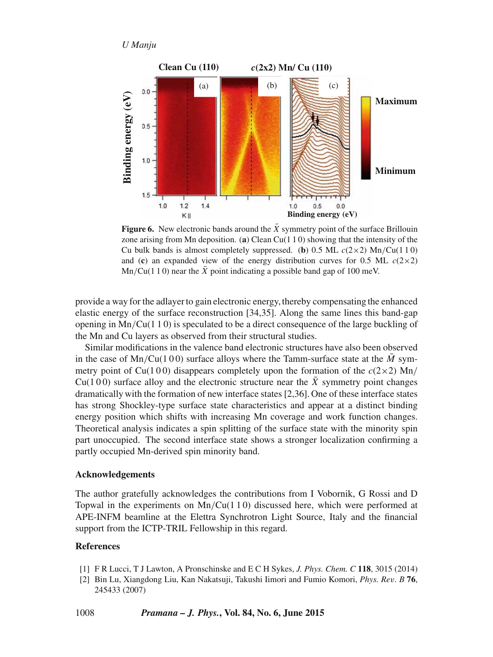```
U Manju
```


**Figure 6.** New electronic bands around the  $\bar{X}$  symmetry point of the surface Brillouin zone arising from Mn deposition. (**a**) Clean Cu(1 1 0) showing that the intensity of the Cu bulk bands is almost completely suppressed. (**b**) 0.5 ML  $c(2\times2)$  Mn/Cu(110) and (c) an expanded view of the energy distribution curves for 0.5 ML  $c(2\times2)$ Mn/Cu(1 1 0) near the  $\overline{X}$  point indicating a possible band gap of 100 meV.

provide a way for the adlayer to gain electronic energy, thereby compensating the enhanced elastic energy of the surface reconstruction [34,35]. Along the same lines this band-gap opening in  $Mn/Cu(1 1 0)$  is speculated to be a direct consequence of the large buckling of the Mn and Cu layers as observed from their structural studies.

Similar modifications in the valence band electronic structures have also been observed in the case of  $Mn/Cu(100)$  surface alloys where the Tamm-surface state at the M symmetry point of Cu(100) disappears completely upon the formation of the  $c(2\times2)$  Mn/ Cu(100) surface alloy and the electronic structure near the  $\bar{X}$  symmetry point changes dramatically with the formation of new interface states [2,36]. One of these interface states has strong Shockley-type surface state characteristics and appear at a distinct binding energy position which shifts with increasing Mn coverage and work function changes. Theoretical analysis indicates a spin splitting of the surface state with the minority spin part unoccupied. The second interface state shows a stronger localization confirming a partly occupied Mn-derived spin minority band.

# **Acknowledgements**

The author gratefully acknowledges the contributions from I Vobornik, G Rossi and D Topwal in the experiments on  $Mn/Cu(110)$  discussed here, which were performed at APE-INFM beamline at the Elettra Synchrotron Light Source, Italy and the financial support from the ICTP-TRIL Fellowship in this regard.

# **References**

- [1] F R Lucci, T J Lawton, A Pronschinske and E C H Sykes, *J. Phys. Chem. C* **118**, 3015 (2014)
- [2] Bin Lu, Xiangdong Liu, Kan Nakatsuji, Takushi Iimori and Fumio Komori, *Phys. Re*v*. B* **76**, 245433 (2007)